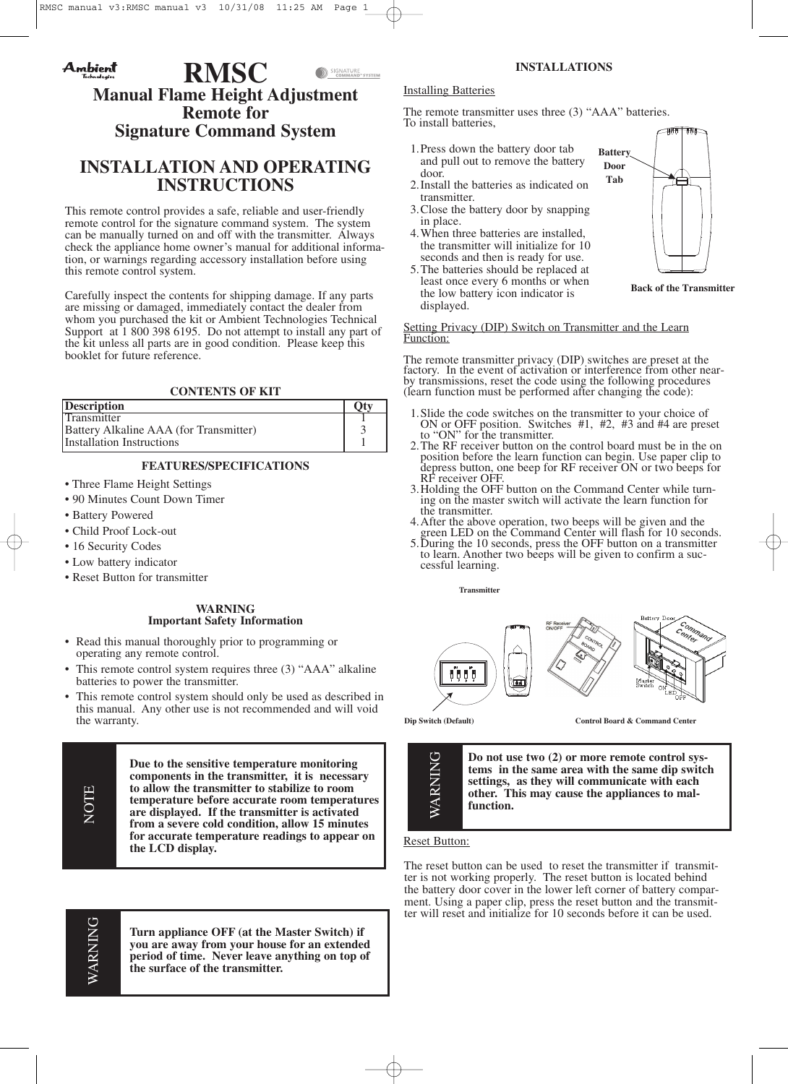#### Ambient **RMSC** SIGNATURE<br>COMMAND"SYSTEM **Manual Flame Height Adjustment Remote for Signature Command System**

# **INSTALLATION AND OPERATING INSTRUCTIONS**

This remote control provides a safe, reliable and user-friendly remote control for the signature command system. The system can be manually turned on and off with the transmitter. Always check the appliance home owner's manual for additional information, or warnings regarding accessory installation before using this remote control system.

Carefully inspect the contents for shipping damage. If any parts are missing or damaged, immediately contact the dealer from whom you purchased the kit or Ambient Technologies Technical Support at 1 800 398 6195. Do not attempt to install any part of the kit unless all parts are in good condition. Please keep this booklet for future reference.

# **CONTENTS OF KIT**

| <b>Description</b>                     |  |
|----------------------------------------|--|
| <b>Transmitter</b>                     |  |
| Battery Alkaline AAA (for Transmitter) |  |
| Installation Instructions              |  |

# **FEATURES/SPECIFICATIONS**

- Three Flame Height Settings
- 90 Minutes Count Down Timer
- Battery Powered
- Child Proof Lock-out
- 16 Security Codes
- Low battery indicator
- Reset Button for transmitter

## **WARNING Important Safety Information**

- Read this manual thoroughly prior to programming or operating any remote control.
- This remote control system requires three (3) "AAA" alkaline batteries to power the transmitter.
- This remote control system should only be used as described in this manual. Any other use is not recommended and will void the warranty.

**Due to the sensitive temperature monitoring components in the transmitter, it is necessary to allow the transmitter to stabilize to room temperature before accurate room temperatures are displayed. If the transmitter is activated from a severe cold condition, allow 15 minutes for accurate temperature readings to appear on the LCD display.**

**Turn appliance OFF (at the Master Switch) if you are away from your house for an extended period of time. Never leave anything on top of the surface of the transmitter.**

# **INSTALLATIONS**

**Battery Door Tab**

## Installing Batteries

The remote transmitter uses three (3) "AAA" batteries. To install batteries,

- 1.Press down the battery door tab and pull out to remove the battery door.
- 2.Install the batteries as indicated on transmitter.
- 3.Close the battery door by snapping in place.
- 4.When three batteries are installed, the transmitter will initialize for 10 seconds and then is ready for use.
- 5.The batteries should be replaced at least once every 6 months or when the low battery icon indicator is displayed.

**Back of the Transmitter**

#### Setting Privacy (DIP) Switch on Transmitter and the Learn Function:

The remote transmitter privacy (DIP) switches are preset at the factory. In the event of activation or interference from other near- by transmissions, reset the code using the following procedures (learn function must be performed after changing the code):

- 1.Slide the code switches on the transmitter to your choice of ON or OFF position. Switches #1, #2, #3 and #4 are preset
- to "ON" for the transmitter. 2.The RF receiver button on the control board must be in the on position before the learn function can begin. Use paper clip to depress button, one beep for RF receiver ON or two beeps for RF receiver OFF.
- 3. Holding the OFF button on the Command Center while turning on the master switch will activate the learn function for the transmitter.
- 4. After the above operation, two beeps will be given and the green LED on the Command Center will flash for 10 seconds.
- 5. During the 10 seconds, press the OFF button on a transmitter to learn. Another two beeps will be given to confirm <sup>a</sup> suc- cessful learning.

**Transmitter**



**Dip Switch (Default) Control Board & Command Center**



**Do not use two (2) or more remote control systems in the same area with the same dip switch settings, as they will communicate with each other. This may cause the appliances to malfunction.**

## Reset Button:

The reset button can be used to reset the transmitter if transmitter is not working properly. The reset button is located behind the battery door cover in the lower left corner of battery comparment. Using a paper clip, press the reset button and the transmitter will reset and initialize for 10 seconds before it can be used.